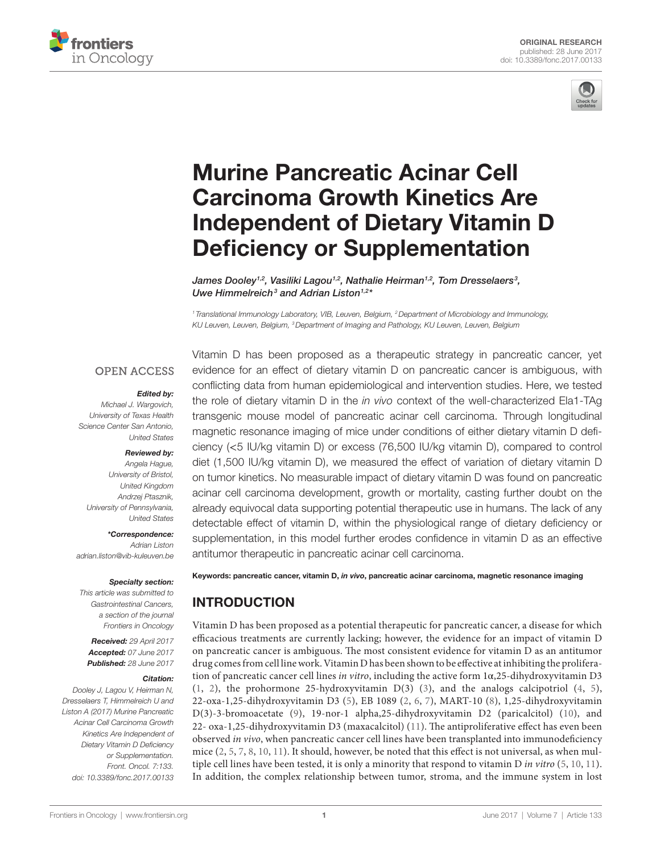



# [Murine Pancreatic Acinar Cell](http://www.frontiersin.org/Journal/10.3389/fonc.2017.00133/abstract)  [Carcinoma Growth Kinetics Are](http://www.frontiersin.org/Journal/10.3389/fonc.2017.00133/abstract)  [Independent of Dietary Vitamin D](http://www.frontiersin.org/Journal/10.3389/fonc.2017.00133/abstract)  [Deficiency or Supplementation](http://www.frontiersin.org/Journal/10.3389/fonc.2017.00133/abstract)

*[James Dooley1](http://loop.frontiersin.org/people/39177),2, [Vasiliki Lagou1](http://loop.frontiersin.org/people/408868),2, Nathalie Heirman1,2, [Tom Dresselaers](http://loop.frontiersin.org/people/410775)3 , [Uwe Himmelreich](http://loop.frontiersin.org/people/104876)3 and [Adrian Liston](http://loop.frontiersin.org/people/21275)1,2\**

*<sup>1</sup> Translational Immunology Laboratory, VIB, Leuven, Belgium, 2Department of Microbiology and Immunology, KU Leuven, Leuven, Belgium, 3Department of Imaging and Pathology, KU Leuven, Leuven, Belgium*

### **OPEN ACCESS**

#### *Edited by:*

*Michael J. Wargovich, University of Texas Health Science Center San Antonio, United States*

#### *Reviewed by:*

*Angela Hague, University of Bristol, United Kingdom Andrzej Ptasznik, University of Pennsylvania, United States*

*\*Correspondence: Adrian Liston [adrian.liston@vib-kuleuven.be](mailto:adrian.liston@vib-kuleuven.be)*

#### *Specialty section:*

*This article was submitted to Gastrointestinal Cancers, a section of the journal Frontiers in Oncology*

*Received: 29 April 2017 Accepted: 07 June 2017 Published: 28 June 2017*

#### *Citation:*

*Dooley J, Lagou V, Heirman N, Dresselaers T, Himmelreich U and Liston A (2017) Murine Pancreatic Acinar Cell Carcinoma Growth Kinetics Are Independent of Dietary Vitamin D Deficiency or Supplementation. Front. Oncol. 7:133. doi: [10.3389/fonc.2017.00133](https://doi.org/10.3389/fonc.2017.00133)*

Vitamin D has been proposed as a therapeutic strategy in pancreatic cancer, yet evidence for an effect of dietary vitamin D on pancreatic cancer is ambiguous, with conflicting data from human epidemiological and intervention studies. Here, we tested the role of dietary vitamin D in the *in vivo* context of the well-characterized Ela1-TAg transgenic mouse model of pancreatic acinar cell carcinoma. Through longitudinal magnetic resonance imaging of mice under conditions of either dietary vitamin D deficiency (<5 IU/kg vitamin D) or excess (76,500 IU/kg vitamin D), compared to control diet (1,500 IU/kg vitamin D), we measured the effect of variation of dietary vitamin D on tumor kinetics. No measurable impact of dietary vitamin D was found on pancreatic acinar cell carcinoma development, growth or mortality, casting further doubt on the already equivocal data supporting potential therapeutic use in humans. The lack of any detectable effect of vitamin D, within the physiological range of dietary deficiency or supplementation, in this model further erodes confidence in vitamin D as an effective antitumor therapeutic in pancreatic acinar cell carcinoma.

Keywords: pancreatic cancer, vitamin D, *in vivo*, pancreatic acinar carcinoma, magnetic resonance imaging

# INTRODUCTION

Vitamin D has been proposed as a potential therapeutic for pancreatic cancer, a disease for which efficacious treatments are currently lacking; however, the evidence for an impact of vitamin D on pancreatic cancer is ambiguous. The most consistent evidence for vitamin D as an antitumor drug comes from cell line work. Vitamin D has been shown to be effective at inhibiting the proliferation of pancreatic cancer cell lines *in vitro*, including the active form 1α,25-dihydroxyvitamin D3 [\(1,](#page-5-0) [2](#page-5-1)), the prohormone 25-hydroxyvitamin D(3) ([3](#page-5-2)), and the analogs calcipotriol [\(4](#page-5-3), [5](#page-5-4)), 22-oxa-1,25-dihydroxyvitamin D3 [\(5](#page-5-4)), EB 1089 ([2](#page-5-1), [6](#page-5-5), [7\)](#page-5-6), MART-10 ([8\)](#page-5-7), 1,25-dihydroxyvitamin D(3)-3-bromoacetate [\(9\)](#page-5-8), 19-nor-1 alpha,25-dihydroxyvitamin D2 (paricalcitol) ([10\)](#page-5-9), and 22- oxa-1,25-dihydroxyvitamin D3 (maxacalcitol) ([11](#page-5-10)). The antiproliferative effect has even been observed *in vivo*, when pancreatic cancer cell lines have been transplanted into immunodeficiency mice ([2,](#page-5-1) [5,](#page-5-4) [7,](#page-5-6) [8,](#page-5-7) [10](#page-5-9), [11\)](#page-5-10). It should, however, be noted that this effect is not universal, as when multiple cell lines have been tested, it is only a minority that respond to vitamin D *in vitro* [\(5,](#page-5-4) [10,](#page-5-9) [11](#page-5-10)). In addition, the complex relationship between tumor, stroma, and the immune system in lost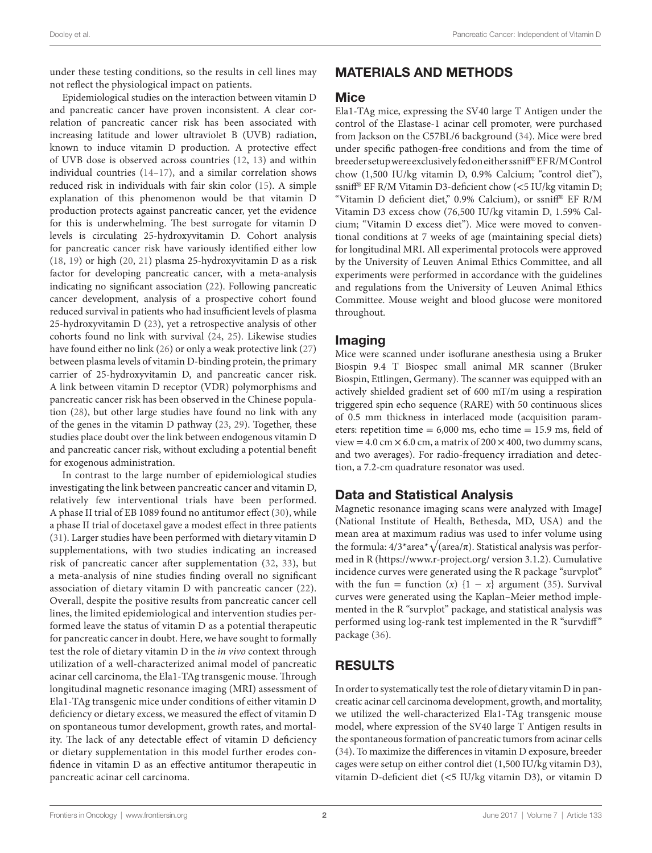under these testing conditions, so the results in cell lines may not reflect the physiological impact on patients.

Epidemiological studies on the interaction between vitamin D and pancreatic cancer have proven inconsistent. A clear correlation of pancreatic cancer risk has been associated with increasing latitude and lower ultraviolet B (UVB) radiation, known to induce vitamin D production. A protective effect of UVB dose is observed across countries [\(12](#page-5-11), [13](#page-5-12)) and within individual countries ([14](#page-5-13)[–17](#page-6-0)), and a similar correlation shows reduced risk in individuals with fair skin color [\(15](#page-5-14)). A simple explanation of this phenomenon would be that vitamin D production protects against pancreatic cancer, yet the evidence for this is underwhelming. The best surrogate for vitamin D levels is circulating 25-hydroxyvitamin D. Cohort analysis for pancreatic cancer risk have variously identified either low ([18,](#page-6-1) [19\)](#page-6-2) or high [\(20,](#page-6-3) [21\)](#page-6-4) plasma 25-hydroxyvitamin D as a risk factor for developing pancreatic cancer, with a meta-analysis indicating no significant association [\(22](#page-6-5)). Following pancreatic cancer development, analysis of a prospective cohort found reduced survival in patients who had insufficient levels of plasma 25-hydroxyvitamin D ([23\)](#page-6-6), yet a retrospective analysis of other cohorts found no link with survival [\(24](#page-6-7), [25](#page-6-8)). Likewise studies have found either no link ([26\)](#page-6-9) or only a weak protective link ([27\)](#page-6-10) between plasma levels of vitamin D-binding protein, the primary carrier of 25-hydroxyvitamin D, and pancreatic cancer risk. A link between vitamin D receptor (VDR) polymorphisms and pancreatic cancer risk has been observed in the Chinese population [\(28\)](#page-6-11), but other large studies have found no link with any of the genes in the vitamin D pathway ([23,](#page-6-6) [29\)](#page-6-12). Together, these studies place doubt over the link between endogenous vitamin D and pancreatic cancer risk, without excluding a potential benefit for exogenous administration.

In contrast to the large number of epidemiological studies investigating the link between pancreatic cancer and vitamin D, relatively few interventional trials have been performed. A phase II trial of EB 1089 found no antitumor effect [\(30\)](#page-6-13), while a phase II trial of docetaxel gave a modest effect in three patients ([31\)](#page-6-14). Larger studies have been performed with dietary vitamin D supplementations, with two studies indicating an increased risk of pancreatic cancer after supplementation [\(32,](#page-6-15) [33](#page-6-16)), but a meta-analysis of nine studies finding overall no significant association of dietary vitamin D with pancreatic cancer [\(22\)](#page-6-5). Overall, despite the positive results from pancreatic cancer cell lines, the limited epidemiological and intervention studies performed leave the status of vitamin D as a potential therapeutic for pancreatic cancer in doubt. Here, we have sought to formally test the role of dietary vitamin D in the *in vivo* context through utilization of a well-characterized animal model of pancreatic acinar cell carcinoma, the Ela1-TAg transgenic mouse. Through longitudinal magnetic resonance imaging (MRI) assessment of Ela1-TAg transgenic mice under conditions of either vitamin D deficiency or dietary excess, we measured the effect of vitamin D on spontaneous tumor development, growth rates, and mortality. The lack of any detectable effect of vitamin D deficiency or dietary supplementation in this model further erodes confidence in vitamin D as an effective antitumor therapeutic in pancreatic acinar cell carcinoma.

# MATERIALS AND METHODS

## **Mice**

Ela1-TAg mice, expressing the SV40 large T Antigen under the control of the Elastase-1 acinar cell promoter, were purchased from Jackson on the C57BL/6 background ([34\)](#page-6-17). Mice were bred under specific pathogen-free conditions and from the time of breeder setup were exclusively fed on either ssniff® EF R/M Control chow (1,500 IU/kg vitamin D, 0.9% Calcium; "control diet"), ssniff® EF R/M Vitamin D3-deficient chow (<5 IU/kg vitamin D; "Vitamin D deficient diet," 0.9% Calcium), or ssniff® EF R/M Vitamin D3 excess chow (76,500 IU/kg vitamin D, 1.59% Calcium; "Vitamin D excess diet"). Mice were moved to conventional conditions at 7 weeks of age (maintaining special diets) for longitudinal MRI. All experimental protocols were approved by the University of Leuven Animal Ethics Committee, and all experiments were performed in accordance with the guidelines and regulations from the University of Leuven Animal Ethics Committee. Mouse weight and blood glucose were monitored throughout.

## Imaging

Mice were scanned under isoflurane anesthesia using a Bruker Biospin 9.4 T Biospec small animal MR scanner (Bruker Biospin, Ettlingen, Germany). The scanner was equipped with an actively shielded gradient set of 600 mT/m using a respiration triggered spin echo sequence (RARE) with 50 continuous slices of 0.5 mm thickness in interlaced mode (acquisition parameters: repetition time = 6,000 ms, echo time = 15.9 ms, field of view =  $4.0 \text{ cm} \times 6.0 \text{ cm}$ , a matrix of  $200 \times 400$ , two dummy scans, and two averages). For radio-frequency irradiation and detection, a 7.2-cm quadrature resonator was used.

# Data and Statistical Analysis

Magnetic resonance imaging scans were analyzed with ImageJ (National Institute of Health, Bethesda, MD, USA) and the mean area at maximum radius was used to infer volume using the formula:  $4/3*$ area $*\sqrt{(area/\pi)}$ . Statistical analysis was performed in R (<https://www.r-project.org/> version 3.1.2). Cumulative incidence curves were generated using the R package "survplot" with the fun = function  $(x)$  {1 – *x*} argument ([35](#page-6-18)). Survival curves were generated using the Kaplan–Meier method implemented in the R "survplot" package, and statistical analysis was performed using log-rank test implemented in the R "survdiff" package ([36\)](#page-6-19).

# RESULTS

In order to systematically test the role of dietary vitamin D in pancreatic acinar cell carcinoma development, growth, and mortality, we utilized the well-characterized Ela1-TAg transgenic mouse model, where expression of the SV40 large T Antigen results in the spontaneous formation of pancreatic tumors from acinar cells [\(34\)](#page-6-17). To maximize the differences in vitamin D exposure, breeder cages were setup on either control diet (1,500 IU/kg vitamin D3), vitamin D-deficient diet (<5 IU/kg vitamin D3), or vitamin D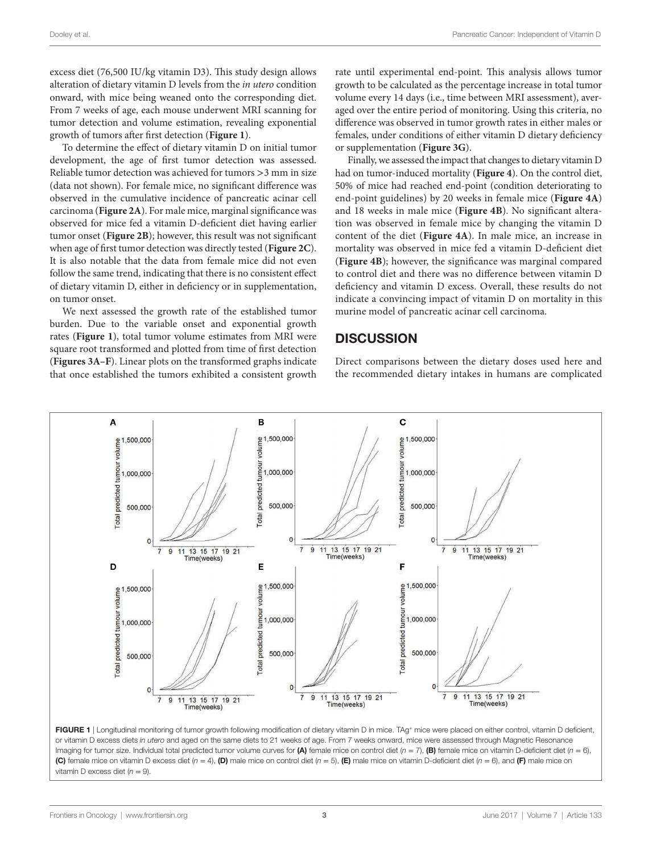excess diet (76,500 IU/kg vitamin D3). This study design allows alteration of dietary vitamin D levels from the *in utero* condition onward, with mice being weaned onto the corresponding diet. From 7 weeks of age, each mouse underwent MRI scanning for tumor detection and volume estimation, revealing exponential growth of tumors after first detection (**[Figure 1](#page-2-0)**).

To determine the effect of dietary vitamin D on initial tumor development, the age of first tumor detection was assessed. Reliable tumor detection was achieved for tumors >3 mm in size (data not shown). For female mice, no significant difference was observed in the cumulative incidence of pancreatic acinar cell carcinoma (**[Figure 2A](#page-3-0)**). For male mice, marginal significance was observed for mice fed a vitamin D-deficient diet having earlier tumor onset (**[Figure 2B](#page-3-0)**); however, this result was not significant when age of first tumor detection was directly tested (**[Figure 2C](#page-3-0)**). It is also notable that the data from female mice did not even follow the same trend, indicating that there is no consistent effect of dietary vitamin D, either in deficiency or in supplementation, on tumor onset.

We next assessed the growth rate of the established tumor burden. Due to the variable onset and exponential growth rates (**[Figure 1](#page-2-0)**), total tumor volume estimates from MRI were square root transformed and plotted from time of first detection (**[Figures 3A–F](#page-3-1)**). Linear plots on the transformed graphs indicate that once established the tumors exhibited a consistent growth rate until experimental end-point. This analysis allows tumor growth to be calculated as the percentage increase in total tumor volume every 14 days (i.e., time between MRI assessment), averaged over the entire period of monitoring. Using this criteria, no difference was observed in tumor growth rates in either males or females, under conditions of either vitamin D dietary deficiency or supplementation (**[Figure 3G](#page-3-1)**).

Finally, we assessed the impact that changes to dietary vitamin D had on tumor-induced mortality (**[Figure 4](#page-4-0)**). On the control diet, 50% of mice had reached end-point (condition deteriorating to end-point guidelines) by 20 weeks in female mice (**[Figure 4A](#page-4-0)**) and 18 weeks in male mice (**[Figure 4B](#page-4-0)**). No significant alteration was observed in female mice by changing the vitamin D content of the diet (**[Figure 4A](#page-4-0)**). In male mice, an increase in mortality was observed in mice fed a vitamin D-deficient diet (**[Figure 4B](#page-4-0)**); however, the significance was marginal compared to control diet and there was no difference between vitamin D deficiency and vitamin D excess. Overall, these results do not indicate a convincing impact of vitamin D on mortality in this murine model of pancreatic acinar cell carcinoma.

## **DISCUSSION**

Direct comparisons between the dietary doses used here and the recommended dietary intakes in humans are complicated



<span id="page-2-0"></span>FIGURE 1 | Longitudinal monitoring of tumor growth following modification of dietary vitamin D in mice. TAg+ mice were placed on either control, vitamin D deficient, or vitamin D excess diets *in utero* and aged on the same diets to 21 weeks of age. From 7 weeks onward, mice were assessed through Magnetic Resonance Imaging for tumor size. Individual total predicted tumor volume curves for (A) female mice on control diet (*n* = 7), (B) female mice on vitamin D-deficient diet (*n* = 6), (C) female mice on vitamin D excess diet (*n* = 4), (D) male mice on control diet (*n* = 5), (E) male mice on vitamin D-deficient diet (*n* = 6), and (F) male mice on vitamin D excess diet (*n* = 9).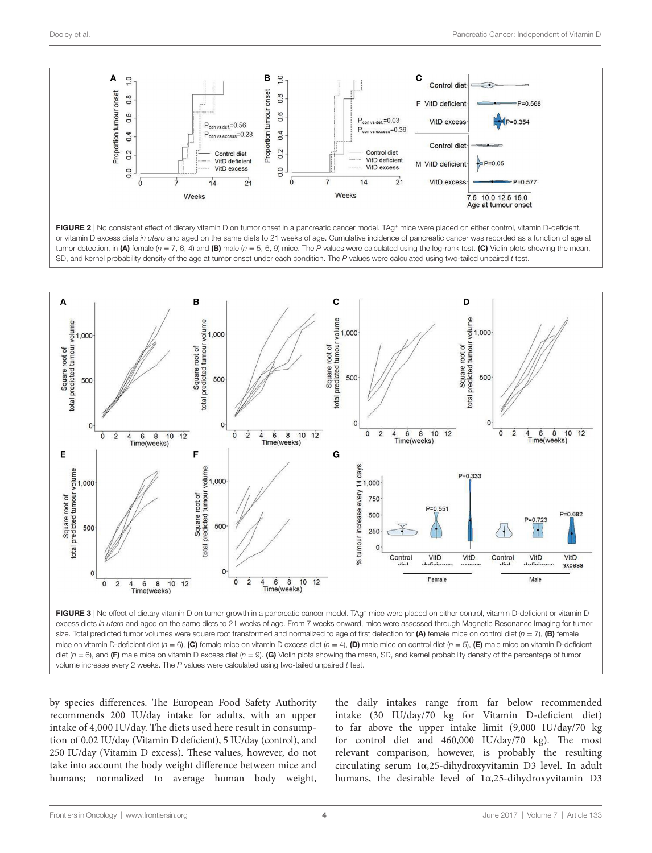

<span id="page-3-0"></span>



<span id="page-3-1"></span>volume increase every 2 weeks. The *P* values were calculated using two-tailed unpaired *t* test.

by species differences. The European Food Safety Authority recommends 200 IU/day intake for adults, with an upper intake of 4,000 IU/day. The diets used here result in consumption of 0.02 IU/day (Vitamin D deficient), 5 IU/day (control), and 250 IU/day (Vitamin D excess). These values, however, do not take into account the body weight difference between mice and humans; normalized to average human body weight, the daily intakes range from far below recommended intake (30 IU/day/70 kg for Vitamin D-deficient diet) to far above the upper intake limit (9,000 IU/day/70 kg for control diet and 460,000 IU/day/70 kg). The most relevant comparison, however, is probably the resulting circulating serum 1α,25-dihydroxyvitamin D3 level. In adult humans, the desirable level of 1α,25-dihydroxyvitamin D3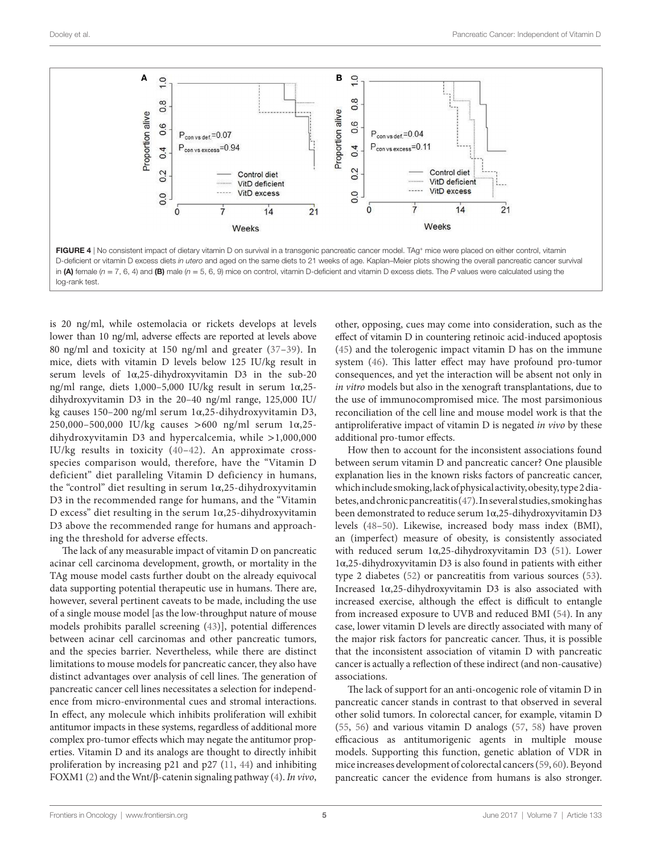

is 20 ng/ml, while ostemolacia or rickets develops at levels lower than 10 ng/ml, adverse effects are reported at levels above 80 ng/ml and toxicity at 150 ng/ml and greater ([37](#page-6-20)–[39](#page-6-21)). In mice, diets with vitamin D levels below 125 IU/kg result in serum levels of 1α,25-dihydroxyvitamin D3 in the sub-20 ng/ml range, diets 1,000–5,000 IU/kg result in serum 1α,25 dihydroxyvitamin D3 in the 20–40 ng/ml range, 125,000 IU/ kg causes 150–200 ng/ml serum 1α,25-dihydroxyvitamin D3, 250,000–500,000 IU/kg causes >600 ng/ml serum 1α,25 dihydroxyvitamin D3 and hypercalcemia, while >1,000,000 IU/kg results in toxicity ([40](#page-6-22)[–42\)](#page-6-23). An approximate crossspecies comparison would, therefore, have the "Vitamin D deficient" diet paralleling Vitamin D deficiency in humans, the "control" diet resulting in serum 1α,25-dihydroxyvitamin D3 in the recommended range for humans, and the "Vitamin D excess" diet resulting in the serum  $1\alpha$ , 25-dihydroxyvitamin D3 above the recommended range for humans and approaching the threshold for adverse effects.

The lack of any measurable impact of vitamin D on pancreatic acinar cell carcinoma development, growth, or mortality in the TAg mouse model casts further doubt on the already equivocal data supporting potential therapeutic use in humans. There are, however, several pertinent caveats to be made, including the use of a single mouse model [as the low-throughput nature of mouse models prohibits parallel screening [\(43](#page-6-24))], potential differences between acinar cell carcinomas and other pancreatic tumors, and the species barrier. Nevertheless, while there are distinct limitations to mouse models for pancreatic cancer, they also have distinct advantages over analysis of cell lines. The generation of pancreatic cancer cell lines necessitates a selection for independence from micro-environmental cues and stromal interactions. In effect, any molecule which inhibits proliferation will exhibit antitumor impacts in these systems, regardless of additional more complex pro-tumor effects which may negate the antitumor properties. Vitamin D and its analogs are thought to directly inhibit proliferation by increasing p21 and p27 ([11,](#page-5-10) [44](#page-6-25)) and inhibiting FOXM1 [\(2\)](#page-5-1) and the Wnt/β-catenin signaling pathway [\(4\)](#page-5-3). *In vivo*,

<span id="page-4-0"></span>other, opposing, cues may come into consideration, such as the effect of vitamin D in countering retinoic acid-induced apoptosis [\(45\)](#page-6-26) and the tolerogenic impact vitamin D has on the immune system ([46\)](#page-6-27). This latter effect may have profound pro-tumor consequences, and yet the interaction will be absent not only in *in vitro* models but also in the xenograft transplantations, due to the use of immunocompromised mice. The most parsimonious reconciliation of the cell line and mouse model work is that the antiproliferative impact of vitamin D is negated *in vivo* by these additional pro-tumor effects.

How then to account for the inconsistent associations found between serum vitamin D and pancreatic cancer? One plausible explanation lies in the known risks factors of pancreatic cancer, which include smoking, lack of physical activity, obesity, type 2 diabetes, and chronic pancreatitis [\(47](#page-6-28)). In several studies, smoking has been demonstrated to reduce serum 1α,25-dihydroxyvitamin D3 levels [\(48](#page-6-29)[–50](#page-6-30)). Likewise, increased body mass index (BMI), an (imperfect) measure of obesity, is consistently associated with reduced serum 1α,25-dihydroxyvitamin D3 [\(51](#page-6-31)). Lower 1α,25-dihydroxyvitamin D3 is also found in patients with either type 2 diabetes ([52\)](#page-6-32) or pancreatitis from various sources [\(53](#page-6-33)). Increased 1α,25-dihydroxyvitamin D3 is also associated with increased exercise, although the effect is difficult to entangle from increased exposure to UVB and reduced BMI [\(54\)](#page-6-34). In any case, lower vitamin D levels are directly associated with many of the major risk factors for pancreatic cancer. Thus, it is possible that the inconsistent association of vitamin D with pancreatic cancer is actually a reflection of these indirect (and non-causative) associations.

The lack of support for an anti-oncogenic role of vitamin D in pancreatic cancer stands in contrast to that observed in several other solid tumors. In colorectal cancer, for example, vitamin D [\(55,](#page-6-35) [56\)](#page-6-36) and various vitamin D analogs ([57,](#page-6-37) [58\)](#page-7-0) have proven efficacious as antitumorigenic agents in multiple mouse models. Supporting this function, genetic ablation of VDR in mice increases development of colorectal cancers [\(59](#page-7-1), [60](#page-7-2)). Beyond pancreatic cancer the evidence from humans is also stronger.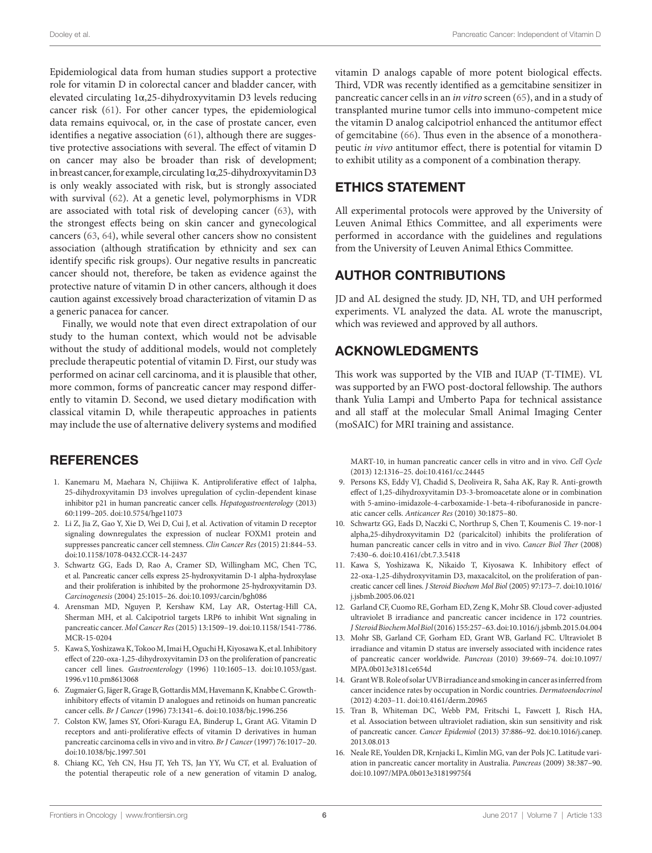Epidemiological data from human studies support a protective role for vitamin D in colorectal cancer and bladder cancer, with elevated circulating 1α,25-dihydroxyvitamin D3 levels reducing cancer risk [\(61](#page-7-3)). For other cancer types, the epidemiological data remains equivocal, or, in the case of prostate cancer, even identifies a negative association [\(61](#page-7-3)), although there are suggestive protective associations with several. The effect of vitamin D on cancer may also be broader than risk of development; in breast cancer, for example, circulating 1α,25-dihydroxyvitamin D3 is only weakly associated with risk, but is strongly associated with survival ([62](#page-7-4)). At a genetic level, polymorphisms in VDR are associated with total risk of developing cancer ([63\)](#page-7-5), with the strongest effects being on skin cancer and gynecological cancers ([63,](#page-7-5) [64](#page-7-6)), while several other cancers show no consistent association (although stratification by ethnicity and sex can identify specific risk groups). Our negative results in pancreatic cancer should not, therefore, be taken as evidence against the protective nature of vitamin D in other cancers, although it does caution against excessively broad characterization of vitamin D as a generic panacea for cancer.

Finally, we would note that even direct extrapolation of our study to the human context, which would not be advisable without the study of additional models, would not completely preclude therapeutic potential of vitamin D. First, our study was performed on acinar cell carcinoma, and it is plausible that other, more common, forms of pancreatic cancer may respond differently to vitamin D. Second, we used dietary modification with classical vitamin D, while therapeutic approaches in patients may include the use of alternative delivery systems and modified

# **REFERENCES**

- <span id="page-5-0"></span>1. Kanemaru M, Maehara N, Chijiiwa K. Antiproliferative effect of 1alpha, 25-dihydroxyvitamin D3 involves upregulation of cyclin-dependent kinase inhibitor p21 in human pancreatic cancer cells. *Hepatogastroenterology* (2013) 60:1199–205. doi[:10.5754/hge11073](https://doi.org/10.5754/hge11073)
- <span id="page-5-1"></span>2. Li Z, Jia Z, Gao Y, Xie D, Wei D, Cui J, et al. Activation of vitamin D receptor signaling downregulates the expression of nuclear FOXM1 protein and suppresses pancreatic cancer cell stemness. *Clin Cancer Res* (2015) 21:844–53. doi:[10.1158/1078-0432.CCR-14-2437](https://doi.org/10.1158/1078-0432.CCR-14-2437)
- <span id="page-5-2"></span>3. Schwartz GG, Eads D, Rao A, Cramer SD, Willingham MC, Chen TC, et al. Pancreatic cancer cells express 25-hydroxyvitamin D-1 alpha-hydroxylase and their proliferation is inhibited by the prohormone 25-hydroxyvitamin D3. *Carcinogenesis* (2004) 25:1015–26. doi:[10.1093/carcin/bgh086](https://doi.org/10.1093/carcin/bgh086)
- <span id="page-5-3"></span>4. Arensman MD, Nguyen P, Kershaw KM, Lay AR, Ostertag-Hill CA, Sherman MH, et al. Calcipotriol targets LRP6 to inhibit Wnt signaling in pancreatic cancer. *Mol Cancer Res* (2015) 13:1509–19. doi[:10.1158/1541-7786.](https://doi.org/10.1158/1541-7786.MCR-15-0204) [MCR-15-0204](https://doi.org/10.1158/1541-7786.MCR-15-0204)
- <span id="page-5-4"></span>5. Kawa S, Yoshizawa K, Tokoo M, Imai H, Oguchi H, Kiyosawa K, et al. Inhibitory effect of 220-oxa-1,25-dihydroxyvitamin D3 on the proliferation of pancreatic cancer cell lines. *Gastroenterology* (1996) 110:1605–13. doi:[10.1053/gast.](https://doi.org/10.1053/gast.
1996.v110.pm8613068) [1996.v110.pm8613068](https://doi.org/10.1053/gast.
1996.v110.pm8613068)
- <span id="page-5-5"></span>6. Zugmaier G, Jäger R, Grage B, Gottardis MM, Havemann K, Knabbe C. Growthinhibitory effects of vitamin D analogues and retinoids on human pancreatic cancer cells. *Br J Cancer* (1996) 73:1341–6. doi[:10.1038/bjc.1996.256](https://doi.org/10.1038/bjc.1996.256)
- <span id="page-5-6"></span>7. Colston KW, James SY, Ofori-Kuragu EA, Binderup L, Grant AG. Vitamin D receptors and anti-proliferative effects of vitamin D derivatives in human pancreatic carcinoma cells in vivo and in vitro. *Br J Cancer* (1997) 76:1017–20. doi:[10.1038/bjc.1997.501](https://doi.org/10.1038/bjc.1997.501)
- <span id="page-5-7"></span>8. Chiang KC, Yeh CN, Hsu JT, Yeh TS, Jan YY, Wu CT, et al. Evaluation of the potential therapeutic role of a new generation of vitamin D analog,

vitamin D analogs capable of more potent biological effects. Third, VDR was recently identified as a gemcitabine sensitizer in pancreatic cancer cells in an *in vitro* screen ([65](#page-7-7)), and in a study of transplanted murine tumor cells into immuno-competent mice the vitamin D analog calcipotriol enhanced the antitumor effect of gemcitabine [\(66](#page-7-8)). Thus even in the absence of a monotherapeutic *in vivo* antitumor effect, there is potential for vitamin D to exhibit utility as a component of a combination therapy.

# ETHICS STATEMENT

All experimental protocols were approved by the University of Leuven Animal Ethics Committee, and all experiments were performed in accordance with the guidelines and regulations from the University of Leuven Animal Ethics Committee.

# AUTHOR CONTRIBUTIONS

JD and AL designed the study. JD, NH, TD, and UH performed experiments. VL analyzed the data. AL wrote the manuscript, which was reviewed and approved by all authors.

# ACKNOWLEDGMENTS

This work was supported by the VIB and IUAP (T-TIME). VL was supported by an FWO post-doctoral fellowship. The authors thank Yulia Lampi and Umberto Papa for technical assistance and all staff at the molecular Small Animal Imaging Center (moSAIC) for MRI training and assistance.

<span id="page-5-8"></span>MART-10, in human pancreatic cancer cells in vitro and in vivo. *Cell Cycle* (2013) 12:1316–25. doi:[10.4161/cc.24445](https://doi.org/10.4161/cc.24445) 

- 9. Persons KS, Eddy VJ, Chadid S, Deoliveira R, Saha AK, Ray R. Anti-growth effect of 1,25-dihydroxyvitamin D3-3-bromoacetate alone or in combination with 5-amino-imidazole-4-carboxamide-1-beta-4-ribofuranoside in pancreatic cancer cells. *Anticancer Res* (2010) 30:1875–80.
- <span id="page-5-9"></span>10. Schwartz GG, Eads D, Naczki C, Northrup S, Chen T, Koumenis C. 19-nor-1 alpha,25-dihydroxyvitamin D2 (paricalcitol) inhibits the proliferation of human pancreatic cancer cells in vitro and in vivo. *Cancer Biol Ther* (2008) 7:430–6. doi:[10.4161/cbt.7.3.5418](https://doi.org/10.4161/cbt.7.3.5418)
- <span id="page-5-10"></span>11. Kawa S, Yoshizawa K, Nikaido T, Kiyosawa K. Inhibitory effect of 22-oxa-1,25-dihydroxyvitamin D3, maxacalcitol, on the proliferation of pancreatic cancer cell lines. *J Steroid Biochem Mol Biol* (2005) 97:173–7. doi[:10.1016/](https://doi.org/10.1016/
j.jsbmb.2005.06.021) [j.jsbmb.2005.06.021](https://doi.org/10.1016/
j.jsbmb.2005.06.021)
- <span id="page-5-11"></span>12. Garland CF, Cuomo RE, Gorham ED, Zeng K, Mohr SB. Cloud cover-adjusted ultraviolet B irradiance and pancreatic cancer incidence in 172 countries. *J Steroid Biochem Mol Biol* (2016) 155:257–63. doi:[10.1016/j.jsbmb.2015.04.004](https://doi.org/10.1016/j.jsbmb.2015.04.004)
- <span id="page-5-12"></span>13. Mohr SB, Garland CF, Gorham ED, Grant WB, Garland FC. Ultraviolet B irradiance and vitamin D status are inversely associated with incidence rates of pancreatic cancer worldwide. *Pancreas* (2010) 39:669–74. doi[:10.1097/](https://doi.org/10.1097/MPA.0b013e3181ce654d) [MPA.0b013e3181ce654d](https://doi.org/10.1097/MPA.0b013e3181ce654d)
- <span id="page-5-13"></span>14. Grant WB. Role of solar UVB irradiance and smoking in cancer as inferred from cancer incidence rates by occupation in Nordic countries. *Dermatoendocrinol* (2012) 4:203–11. doi[:10.4161/derm.20965](https://doi.org/10.4161/derm.20965)
- <span id="page-5-14"></span>15. Tran B, Whiteman DC, Webb PM, Fritschi L, Fawcett J, Risch HA, et al. Association between ultraviolet radiation, skin sun sensitivity and risk of pancreatic cancer. *Cancer Epidemiol* (2013) 37:886–92. doi[:10.1016/j.canep.](https://doi.org/10.1016/j.canep.
2013.08.013) [2013.08.013](https://doi.org/10.1016/j.canep.
2013.08.013)
- 16. Neale RE, Youlden DR, Krnjacki L, Kimlin MG, van der Pols JC. Latitude variation in pancreatic cancer mortality in Australia. *Pancreas* (2009) 38:387–90. doi:[10.1097/MPA.0b013e31819975f4](https://doi.org/10.1097/MPA.0b013e31819975f4)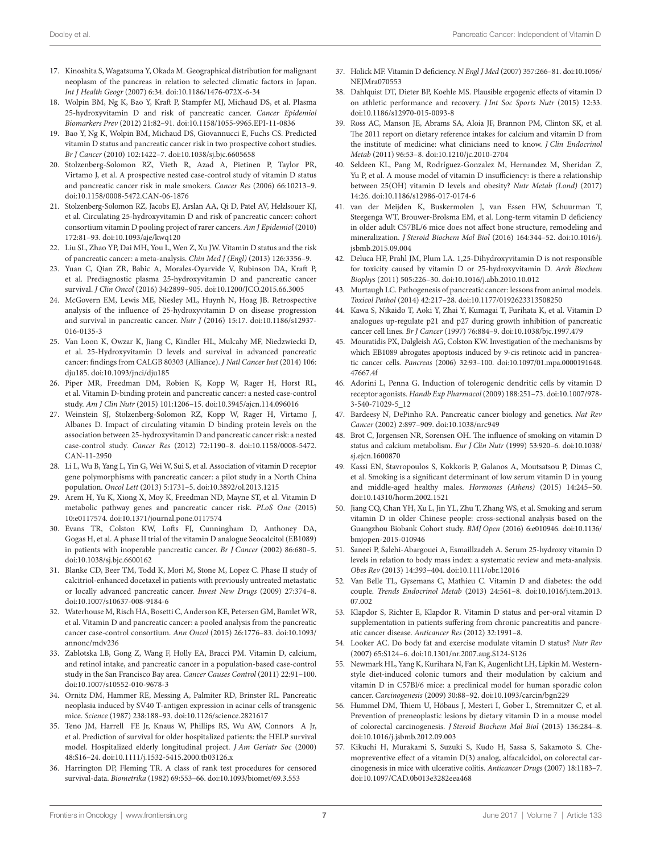- <span id="page-6-0"></span>17. Kinoshita S, Wagatsuma Y, Okada M. Geographical distribution for malignant neoplasm of the pancreas in relation to selected climatic factors in Japan. *Int J Health Geogr* (2007) 6:34. doi:[10.1186/1476-072X-6-34](https://doi.org/10.1186/1476-072X-6-34)
- <span id="page-6-1"></span>18. Wolpin BM, Ng K, Bao Y, Kraft P, Stampfer MJ, Michaud DS, et al. Plasma 25-hydroxyvitamin D and risk of pancreatic cancer. *Cancer Epidemiol Biomarkers Prev* (2012) 21:82–91. doi:[10.1158/1055-9965.EPI-11-0836](https://doi.org/10.1158/1055-9965.EPI-11-0836)
- <span id="page-6-2"></span>19. Bao Y, Ng K, Wolpin BM, Michaud DS, Giovannucci E, Fuchs CS. Predicted vitamin D status and pancreatic cancer risk in two prospective cohort studies. *Br J Cancer* (2010) 102:1422–7. doi[:10.1038/sj.bjc.6605658](https://doi.org/10.1038/sj.bjc.6605658)
- <span id="page-6-3"></span>20. Stolzenberg-Solomon RZ, Vieth R, Azad A, Pietinen P, Taylor PR, Virtamo J, et al. A prospective nested case-control study of vitamin D status and pancreatic cancer risk in male smokers. *Cancer Res* (2006) 66:10213–9. doi:[10.1158/0008-5472.CAN-06-1876](https://doi.org/10.1158/0008-5472.CAN-06-1876)
- <span id="page-6-4"></span>21. Stolzenberg-Solomon RZ, Jacobs EJ, Arslan AA, Qi D, Patel AV, Helzlsouer KJ, et al. Circulating 25-hydroxyvitamin D and risk of pancreatic cancer: cohort consortium vitamin D pooling project of rarer cancers. *Am J Epidemiol* (2010) 172:81–93. doi:[10.1093/aje/kwq120](https://doi.org/10.1093/aje/kwq120)
- <span id="page-6-5"></span>22. Liu SL, Zhao YP, Dai MH, You L, Wen Z, Xu JW. Vitamin D status and the risk of pancreatic cancer: a meta-analysis. *Chin Med J (Engl)* (2013) 126:3356–9.
- <span id="page-6-6"></span>23. Yuan C, Qian ZR, Babic A, Morales-Oyarvide V, Rubinson DA, Kraft P, et al. Prediagnostic plasma 25-hydroxyvitamin D and pancreatic cancer survival. *J Clin Oncol* (2016) 34:2899–905. doi[:10.1200/JCO.2015.66.3005](https://doi.org/10.1200/JCO.2015.66.3005)
- <span id="page-6-7"></span>24. McGovern EM, Lewis ME, Niesley ML, Huynh N, Hoag JB. Retrospective analysis of the influence of 25-hydroxyvitamin D on disease progression and survival in pancreatic cancer. *Nutr J* (2016) 15:17. doi:[10.1186/s12937-](https://doi.org/10.1186/s12937-
016-0135-3) [016-0135-3](https://doi.org/10.1186/s12937-
016-0135-3)
- <span id="page-6-8"></span>25. Van Loon K, Owzar K, Jiang C, Kindler HL, Mulcahy MF, Niedzwiecki D, et al. 25-Hydroxyvitamin D levels and survival in advanced pancreatic cancer: findings from CALGB 80303 (Alliance). *J Natl Cancer Inst* (2014) 106: dju185. doi:[10.1093/jnci/dju185](https://doi.org/10.1093/jnci/dju185)
- <span id="page-6-9"></span>26. Piper MR, Freedman DM, Robien K, Kopp W, Rager H, Horst RL, et al. Vitamin D-binding protein and pancreatic cancer: a nested case-control study. *Am J Clin Nutr* (2015) 101:1206–15. doi:[10.3945/ajcn.114.096016](https://doi.org/10.3945/ajcn.114.096016)
- <span id="page-6-10"></span>27. Weinstein SJ, Stolzenberg-Solomon RZ, Kopp W, Rager H, Virtamo J, Albanes D. Impact of circulating vitamin D binding protein levels on the association between 25-hydroxyvitamin D and pancreatic cancer risk: a nested case-control study. *Cancer Res* (2012) 72:1190–8. doi[:10.1158/0008-5472.](https://doi.org/10.1158/0008-5472.CAN-11-2950) [CAN-11-2950](https://doi.org/10.1158/0008-5472.CAN-11-2950)
- <span id="page-6-11"></span>28. Li L, Wu B, Yang L, Yin G, Wei W, Sui S, et al. Association of vitamin D receptor gene polymorphisms with pancreatic cancer: a pilot study in a North China population. *Oncol Lett* (2013) 5:1731–5. doi[:10.3892/ol.2013.1215](https://doi.org/10.3892/ol.2013.1215)
- <span id="page-6-12"></span>29. Arem H, Yu K, Xiong X, Moy K, Freedman ND, Mayne ST, et al. Vitamin D metabolic pathway genes and pancreatic cancer risk. *PLoS One* (2015) 10:e0117574. doi[:10.1371/journal.pone.0117574](https://doi.org/10.1371/journal.pone.0117574)
- <span id="page-6-13"></span>30. Evans TR, Colston KW, Lofts FJ, Cunningham D, Anthoney DA, Gogas H, et al. A phase II trial of the vitamin D analogue Seocalcitol (EB1089) in patients with inoperable pancreatic cancer. *Br J Cancer* (2002) 86:680–5. doi:[10.1038/sj.bjc.6600162](https://doi.org/10.1038/sj.bjc.6600162)
- <span id="page-6-14"></span>31. Blanke CD, Beer TM, Todd K, Mori M, Stone M, Lopez C. Phase II study of calcitriol-enhanced docetaxel in patients with previously untreated metastatic or locally advanced pancreatic cancer. *Invest New Drugs* (2009) 27:374–8. doi:[10.1007/s10637-008-9184-6](https://doi.org/10.1007/s10637-008-9184-6)
- <span id="page-6-15"></span>32. Waterhouse M, Risch HA, Bosetti C, Anderson KE, Petersen GM, Bamlet WR, et al. Vitamin D and pancreatic cancer: a pooled analysis from the pancreatic cancer case-control consortium. *Ann Oncol* (2015) 26:1776–83. doi[:10.1093/](https://doi.org/10.1093/annonc/mdv236) [annonc/mdv236](https://doi.org/10.1093/annonc/mdv236)
- <span id="page-6-16"></span>33. Zablotska LB, Gong Z, Wang F, Holly EA, Bracci PM. Vitamin D, calcium, and retinol intake, and pancreatic cancer in a population-based case-control study in the San Francisco Bay area. *Cancer Causes Control* (2011) 22:91–100. doi:[10.1007/s10552-010-9678-3](https://doi.org/10.1007/s10552-010-9678-3)
- <span id="page-6-17"></span>34. Ornitz DM, Hammer RE, Messing A, Palmiter RD, Brinster RL. Pancreatic neoplasia induced by SV40 T-antigen expression in acinar cells of transgenic mice. *Science* (1987) 238:188–93. doi:[10.1126/science.2821617](https://doi.org/10.1126/science.2821617)
- <span id="page-6-18"></span>35. Teno JM, Harrell FE Jr, Knaus W, Phillips RS, Wu AW, Connors A Jr, et al. Prediction of survival for older hospitalized patients: the HELP survival model. Hospitalized elderly longitudinal project. *J Am Geriatr Soc* (2000) 48:S16–24. doi:[10.1111/j.1532-5415.2000.tb03126.x](https://doi.org/10.1111/j.1532-5415.2000.tb03126.x)
- <span id="page-6-19"></span>Harrington DP, Fleming TR. A class of rank test procedures for censored survival-data. *Biometrika* (1982) 69:553–66. doi:[10.1093/biomet/69.3.553](https://doi.org/10.1093/biomet/69.3.553)
- <span id="page-6-20"></span>37. Holick MF. Vitamin D deficiency. *N Engl J Med* (2007) 357:266–81. doi[:10.1056/](https://doi.org/10.1056/
NEJMra070553) NEIMra070553
- 38. Dahlquist DT, Dieter BP, Koehle MS. Plausible ergogenic effects of vitamin D on athletic performance and recovery. *J Int Soc Sports Nutr* (2015) 12:33. doi:[10.1186/s12970-015-0093-8](https://doi.org/10.1186/s12970-015-0093-8)
- <span id="page-6-21"></span>39. Ross AC, Manson JE, Abrams SA, Aloia JF, Brannon PM, Clinton SK, et al. The 2011 report on dietary reference intakes for calcium and vitamin D from the institute of medicine: what clinicians need to know. *J Clin Endocrinol Metab* (2011) 96:53–8. doi[:10.1210/jc.2010-2704](https://doi.org/10.1210/jc.2010-2704)
- <span id="page-6-22"></span>40. Seldeen KL, Pang M, Rodríguez-Gonzalez M, Hernandez M, Sheridan Z, Yu P, et al. A mouse model of vitamin D insufficiency: is there a relationship between 25(OH) vitamin D levels and obesity? *Nutr Metab (Lond)* (2017) 14:26. doi[:10.1186/s12986-017-0174-6](https://doi.org/10.1186/s12986-017-0174-6)
- 41. van der Meijden K, Buskermolen J, van Essen HW, Schuurman T, Steegenga WT, Brouwer-Brolsma EM, et al. Long-term vitamin D deficiency in older adult C57BL/6 mice does not affect bone structure, remodeling and mineralization. *J Steroid Biochem Mol Biol* (2016) 164:344–52. doi:[10.1016/j.](https://doi.org/10.1016/j.jsbmb.2015.09.004) [jsbmb.2015.09.004](https://doi.org/10.1016/j.jsbmb.2015.09.004)
- <span id="page-6-23"></span>42. Deluca HF, Prahl JM, Plum LA. 1,25-Dihydroxyvitamin D is not responsible for toxicity caused by vitamin D or 25-hydroxyvitamin D. *Arch Biochem Biophys* (2011) 505:226–30. doi[:10.1016/j.abb.2010.10.012](https://doi.org/10.1016/j.abb.2010.10.012)
- <span id="page-6-24"></span>43. Murtaugh LC. Pathogenesis of pancreatic cancer: lessons from animal models. *Toxicol Pathol* (2014) 42:217–28. doi[:10.1177/0192623313508250](https://doi.org/10.1177/0192623313508250)
- <span id="page-6-25"></span>44. Kawa S, Nikaido T, Aoki Y, Zhai Y, Kumagai T, Furihata K, et al. Vitamin D analogues up-regulate p21 and p27 during growth inhibition of pancreatic cancer cell lines. *Br J Cancer* (1997) 76:884–9. doi[:10.1038/bjc.1997.479](https://doi.org/10.1038/bjc.1997.479)
- <span id="page-6-26"></span>45. Mouratidis PX, Dalgleish AG, Colston KW. Investigation of the mechanisms by which EB1089 abrogates apoptosis induced by 9-cis retinoic acid in pancreatic cancer cells. *Pancreas* (2006) 32:93–100. doi[:10.1097/01.mpa.0000191648.](https://doi.org/10.1097/01.mpa.0000191648.
47667.4f) [47667.4f](https://doi.org/10.1097/01.mpa.0000191648.
47667.4f)
- <span id="page-6-27"></span>46. Adorini L, Penna G. Induction of tolerogenic dendritic cells by vitamin D receptor agonists. *Handb Exp Pharmacol* (2009) 188:251–73. doi:[10.1007/978-](https://doi.org/10.1007/
978-3-540-71029-5_12) [3-540-71029-5\\_12](https://doi.org/10.1007/
978-3-540-71029-5_12)
- <span id="page-6-28"></span>47. Bardeesy N, DePinho RA. Pancreatic cancer biology and genetics. *Nat Rev Cancer* (2002) 2:897–909. doi:[10.1038/nrc949](https://doi.org/10.1038/nrc949)
- <span id="page-6-29"></span>48. Brot C, Jorgensen NR, Sorensen OH. The influence of smoking on vitamin D status and calcium metabolism. *Eur J Clin Nutr* (1999) 53:920–6. doi:[10.1038/](https://doi.org/10.1038/sj.ejcn.1600870) [sj.ejcn.1600870](https://doi.org/10.1038/sj.ejcn.1600870)
- 49. Kassi EN, Stavropoulos S, Kokkoris P, Galanos A, Moutsatsou P, Dimas C, et al. Smoking is a significant determinant of low serum vitamin D in young and middle-aged healthy males. *Hormones (Athens)* (2015) 14:245–50. doi:[10.14310/horm.2002.1521](https://doi.org/10.14310/horm.2002.1521)
- <span id="page-6-30"></span>50. Jiang CQ, Chan YH, Xu L, Jin YL, Zhu T, Zhang WS, et al. Smoking and serum vitamin D in older Chinese people: cross-sectional analysis based on the Guangzhou Biobank Cohort study. *BMJ Open* (2016) 6:e010946. doi[:10.1136/](https://doi.org/10.1136/bmjopen-2015-010946) [bmjopen-2015-010946](https://doi.org/10.1136/bmjopen-2015-010946)
- <span id="page-6-31"></span>51. Saneei P, Salehi-Abargouei A, Esmaillzadeh A. Serum 25-hydroxy vitamin D levels in relation to body mass index: a systematic review and meta-analysis. *Obes Rev* (2013) 14:393–404. doi[:10.1111/obr.12016](https://doi.org/10.1111/obr.12016)
- <span id="page-6-32"></span>52. Van Belle TL, Gysemans C, Mathieu C. Vitamin D and diabetes: the odd couple. *Trends Endocrinol Metab* (2013) 24:561–8. doi[:10.1016/j.tem.2013.](https://doi.org/10.1016/j.tem.2013.
07.002) [07.002](https://doi.org/10.1016/j.tem.2013.
07.002)
- <span id="page-6-33"></span>53. Klapdor S, Richter E, Klapdor R. Vitamin D status and per-oral vitamin D supplementation in patients suffering from chronic pancreatitis and pancreatic cancer disease. *Anticancer Res* (2012) 32:1991–8.
- <span id="page-6-34"></span>54. Looker AC. Do body fat and exercise modulate vitamin D status? *Nutr Rev* (2007) 65:S124–6. doi[:10.1301/nr.2007.aug.S124-S126](https://doi.org/10.1301/nr.2007.aug.S124-S126)
- <span id="page-6-35"></span>55. Newmark HL, Yang K, Kurihara N, Fan K, Augenlicht LH, Lipkin M. Westernstyle diet-induced colonic tumors and their modulation by calcium and vitamin D in C57Bl/6 mice: a preclinical model for human sporadic colon cancer. *Carcinogenesis* (2009) 30:88–92. doi[:10.1093/carcin/bgn229](https://doi.org/10.1093/carcin/bgn229)
- <span id="page-6-36"></span>56. Hummel DM, Thiem U, Höbaus J, Mesteri I, Gober L, Stremnitzer C, et al. Prevention of preneoplastic lesions by dietary vitamin D in a mouse model of colorectal carcinogenesis. *J Steroid Biochem Mol Biol* (2013) 136:284–8. doi:[10.1016/j.jsbmb.2012.09.003](https://doi.org/10.1016/j.jsbmb.2012.09.003)
- <span id="page-6-37"></span>57. Kikuchi H, Murakami S, Suzuki S, Kudo H, Sassa S, Sakamoto S. Chemopreventive effect of a vitamin D(3) analog, alfacalcidol, on colorectal carcinogenesis in mice with ulcerative colitis. *Anticancer Drugs* (2007) 18:1183–7. doi:[10.1097/CAD.0b013e3282eea468](https://doi.org/10.1097/CAD.0b013e3282eea468)